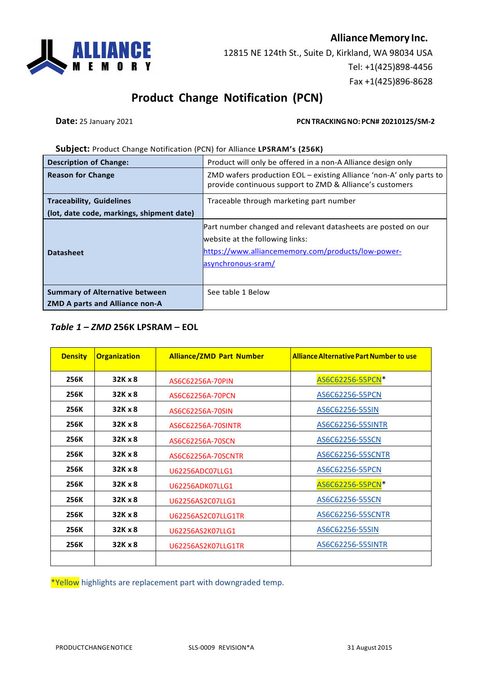

12815 NE 124th St., Suite D, Kirkland, WA 98034 USA Tel: +1(425)898-4456 Fax +1(425)896-8628

## **Product Change Notification (PCN)**

**Date:** 25 January 2021 **PCN TRACKING NO: PCN# 20210125/SM-2** 

#### **Subject:** Product Change Notification (PCN) for Alliance **LPSRAM's (256K)**

| <b>Description of Change:</b>             | Product will only be offered in a non-A Alliance design only                                                                                                                 |  |
|-------------------------------------------|------------------------------------------------------------------------------------------------------------------------------------------------------------------------------|--|
| <b>Reason for Change</b>                  | ZMD wafers production EOL – existing Alliance 'non-A' only parts to<br>provide continuous support to ZMD & Alliance's customers                                              |  |
| <b>Traceability, Guidelines</b>           | Traceable through marketing part number                                                                                                                                      |  |
| (lot, date code, markings, shipment date) |                                                                                                                                                                              |  |
| <b>Datasheet</b>                          | Part number changed and relevant datasheets are posted on our<br>website at the following links:<br>https://www.alliancememory.com/products/low-power-<br>asynchronous-sram/ |  |
| <b>Summary of Alternative between</b>     | See table 1 Below                                                                                                                                                            |  |
| <b>ZMD A parts and Alliance non-A</b>     |                                                                                                                                                                              |  |

### *Table 1 – ZMD* **256K LPSRAM – EOL**

| <b>Density</b> | <b>Organization</b> | <b>Alliance/ZMD Part Number</b> | <b>Alliance Alternative Part Number to use</b> |  |
|----------------|---------------------|---------------------------------|------------------------------------------------|--|
| 256K           | 32K x 8             | AS6C62256A-70PIN                | AS6C62256-55PCN*                               |  |
| 256K           | 32K x 8             | AS6C62256A-70PCN                | AS6C62256-55PCN                                |  |
| 256K           | 32K x 8             | AS6C62256A-70SIN                | AS6C62256-55SIN                                |  |
| 256K           | 32K x 8             | AS6C62256A-70SINTR              | AS6C62256-55SINTR                              |  |
| 256K           | 32K x 8             | AS6C62256A-70SCN                | AS6C62256-55SCN                                |  |
| 256K           | 32K x 8             | AS6C62256A-70SCNTR              | AS6C62256-55SCNTR                              |  |
| 256K           | 32K x 8             | U62256ADC07LLG1                 | AS6C62256-55PCN                                |  |
| 256K           | 32K x 8             | <b>U62256ADK07LLG1</b>          | AS6C62256-55PCN*                               |  |
| 256K           | 32K x 8             | U62256AS2C07LLG1                | AS6C62256-55SCN                                |  |
| 256K           | 32K x 8             | U62256AS2C07LLG1TR              | AS6C62256-55SCNTR                              |  |
| 256K           | 32K x 8             | U62256AS2K07LLG1                | AS6C62256-55SIN                                |  |
| 256K           | 32K x 8             | U62256AS2K07LLG1TR              | AS6C62256-55SINTR                              |  |
|                |                     |                                 |                                                |  |

\*Yellow highlights are replacement part with downgraded temp.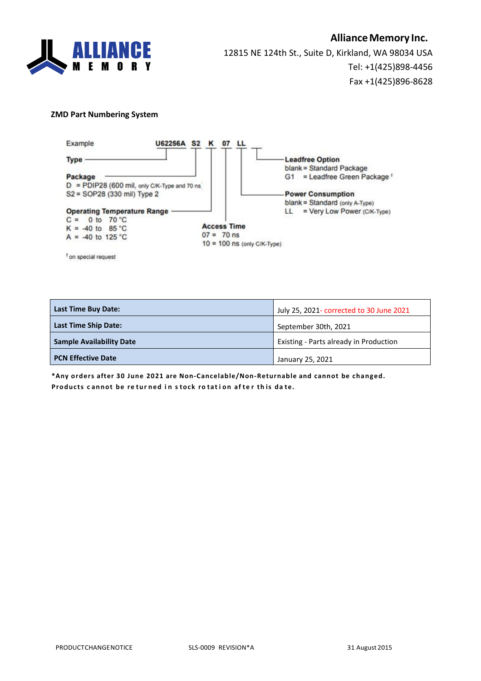

### **AllianceMemory Inc.**

12815 NE 124th St., Suite D, Kirkland, WA 98034 USA Tel: +1(425)898-4456 Fax +1(425)896-8628

#### **ZMD Part Numbering System**



**Last Time Buy Date:** July 25, 2021- corrected to 30 June 2021 **Last Time Ship Date:** September 30th, 2021 **Sample Availability Date** Existing - Parts already in Production **PCN Effective Date** January 25, 2021

**\*Any orders after 30 June 2021 are Non-Cancelable/Non-Returnable and cannot be changed. Products c annot be re tur ned i n s tock ro tat i on af te r th is da te.**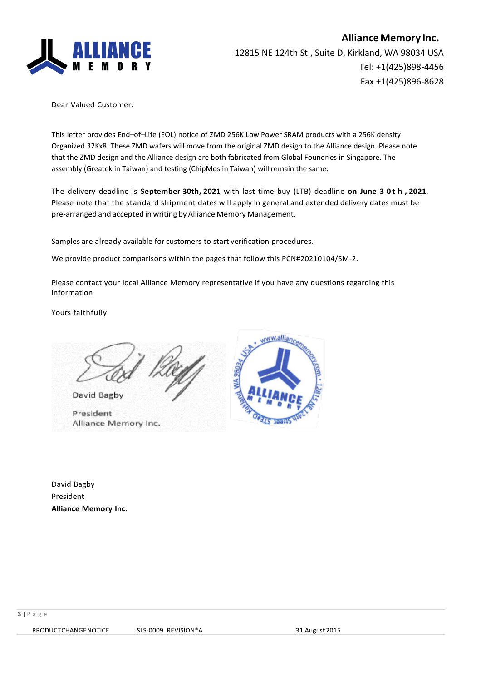

Dear Valued Customer:

This letter provides End–of–Life (EOL) notice of ZMD 256K Low Power SRAM products with a 256K density Organized 32Kx8. These ZMD wafers will move from the original ZMD design to the Alliance design. Please note that the ZMD design and the Alliance design are both fabricated from Global Foundries in Singapore. The assembly (Greatek in Taiwan) and testing (ChipMos in Taiwan) will remain the same.

The delivery deadline is **September 30th, 2021** with last time buy (LTB) deadline **on June 3 0 t h , 2021**. Please note that the standard shipment dates will apply in general and extended delivery dates must be pre-arranged and accepted in writing by Alliance Memory Management.

Samples are already available for customers to start verification procedures.

We provide product comparisons within the pages that follow this PCN#20210104/SM-2.

Please contact your local Alliance Memory representative if you have any questions regarding this information

Yours faithfully

David Bagby

President Alliance Memory Inc.



David Bagby President **Alliance Memory Inc.**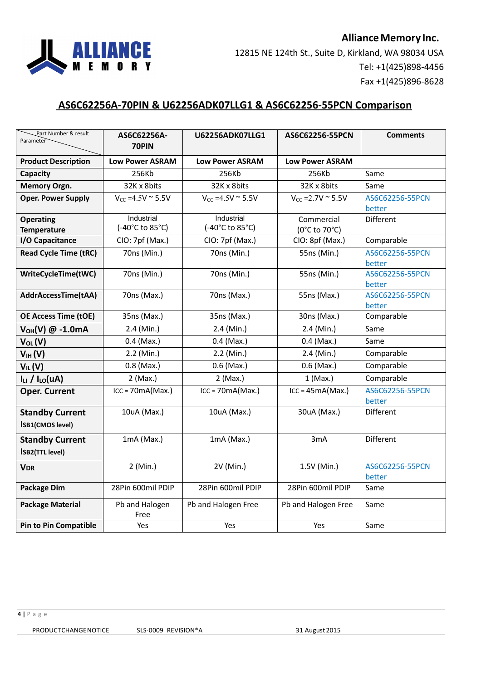

### **AS6C62256A-70PIN & U62256ADK07LLG1 & AS6C62256-55PCN Comparison**

| Part Number & result<br>Parameter                 | AS6C62256A-<br>70PIN          | <b>U62256ADK07LLG1</b>        | AS6C62256-55PCN             | <b>Comments</b>           |
|---------------------------------------------------|-------------------------------|-------------------------------|-----------------------------|---------------------------|
| <b>Product Description</b>                        | <b>Low Power ASRAM</b>        | <b>Low Power ASRAM</b>        | <b>Low Power ASRAM</b>      |                           |
| Capacity                                          | 256Kb                         | 256Kb                         | 256Kb                       | Same                      |
| Memory Orgn.                                      | 32K x 8bits                   | 32K x 8bits                   | 32K x 8bits                 | Same                      |
| <b>Oper. Power Supply</b>                         | $V_{CC} = 4.5V$ ~ 5.5V        | $V_{CC} = 4.5V$ ~ 5.5V        | $V_{CC} = 2.7V$ ~ 5.5V      | AS6C62256-55PCN<br>better |
| <b>Operating</b><br><b>Temperature</b>            | Industrial<br>(-40°C to 85°C) | Industrial<br>(-40°C to 85°C) | Commercial<br>(0°C to 70°C) | Different                 |
| I/O Capacitance                                   | CIO: 7pf (Max.)               | CIO: 7pf (Max.)               | CIO: 8pf (Max.)             | Comparable                |
| <b>Read Cycle Time (tRC)</b>                      | 70ns (Min.)                   | 70ns (Min.)                   | 55ns (Min.)                 | AS6C62256-55PCN<br>better |
| WriteCycleTime(tWC)                               | 70ns (Min.)                   | 70ns (Min.)                   | 55ns (Min.)                 | AS6C62256-55PCN<br>better |
| AddrAccessTime(tAA)                               | 70ns (Max.)                   | 70ns (Max.)                   | 55ns (Max.)                 | AS6C62256-55PCN<br>better |
| <b>OE Access Time (tOE)</b>                       | 35ns (Max.)                   | 35ns (Max.)                   | 30ns (Max.)                 | Comparable                |
| $V_{OH}(V)$ @ -1.0mA                              | 2.4 (Min.)                    | 2.4 (Min.)                    | 2.4 (Min.)                  | Same                      |
| $V_{OL}(V)$                                       | $0.4$ (Max.)                  | $0.4$ (Max.)                  | $0.4$ (Max.)                | Same                      |
| V <sub>IH</sub> (V)                               | 2.2 (Min.)                    | 2.2 (Min.)                    | 2.4 (Min.)                  | Comparable                |
| $V_{IL}(V)$                                       | $0.8$ (Max.)                  | $0.6$ (Max.)                  | $0.6$ (Max.)                | Comparable                |
| $I_{LI}$ / $I_{LO}(UA)$                           | 2 (Max.)                      | 2 (Max.)                      | $1$ (Max.)                  | Comparable                |
| <b>Oper. Current</b>                              | $ICC = 70mA(Max.)$            | $ICC = 70mA(Max.)$            | $ICC = 45mA(Max.)$          | AS6C62256-55PCN<br>better |
| <b>Standby Current</b><br><b>ISB1(CMOS level)</b> | 10uA (Max.)                   | 10uA (Max.)                   | 30uA (Max.)                 | Different                 |
| <b>Standby Current</b><br><b>ISB2(TTL level)</b>  | $1mA$ (Max.)                  | $1mA$ (Max.)                  | 3mA                         | Different                 |
| <b>VDR</b>                                        | 2 (Min.)                      | 2V (Min.)                     | 1.5V (Min.)                 | AS6C62256-55PCN<br>better |
| <b>Package Dim</b>                                | 28Pin 600mil PDIP             | 28Pin 600mil PDIP             | 28Pin 600mil PDIP           | Same                      |
| <b>Package Material</b>                           | Pb and Halogen<br>Free        | Pb and Halogen Free           | Pb and Halogen Free         | Same                      |
| <b>Pin to Pin Compatible</b>                      | Yes                           | Yes                           | Yes                         | Same                      |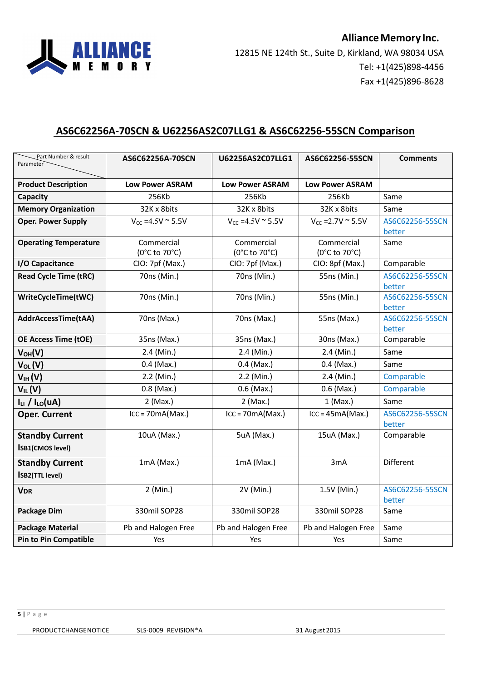

## **AS6C62256A-70SCN & U62256AS2C07LLG1 & AS6C62256-55SCN Comparison**

| Part Number & result<br>Parameter                 | AS6C62256A-70SCN             | U62256AS2C07LLG1            | AS6C62256-55SCN             | <b>Comments</b>           |
|---------------------------------------------------|------------------------------|-----------------------------|-----------------------------|---------------------------|
| <b>Product Description</b>                        | <b>Low Power ASRAM</b>       | <b>Low Power ASRAM</b>      | <b>Low Power ASRAM</b>      |                           |
| Capacity                                          | 256Kb                        | 256Kb                       | 256Kb                       | Same                      |
| <b>Memory Organization</b>                        | 32K x 8bits                  | 32K x 8bits                 | 32K x 8bits                 | Same                      |
| <b>Oper. Power Supply</b>                         | $V_{CC} = 4.5V \approx 5.5V$ | $V_{CC} = 4.5V$ ~ 5.5V      | $V_{CC} = 2.7V$ ~ 5.5V      | AS6C62256-55SCN<br>better |
| <b>Operating Temperature</b>                      | Commercial<br>(0°C to 70°C)  | Commercial<br>(0°C to 70°C) | Commercial<br>(0°C to 70°C) | Same                      |
| I/O Capacitance                                   | CIO: 7pf (Max.)              | CIO: 7pf (Max.)             | CIO: 8pf (Max.)             | Comparable                |
| <b>Read Cycle Time (tRC)</b>                      | 70ns (Min.)                  | 70ns (Min.)                 | 55ns (Min.)                 | AS6C62256-55SCN<br>better |
| WriteCycleTime(tWC)                               | 70ns (Min.)                  | 70ns (Min.)                 | 55ns (Min.)                 | AS6C62256-55SCN<br>better |
| AddrAccessTime(tAA)                               | 70ns (Max.)                  | 70ns (Max.)                 | 55ns (Max.)                 | AS6C62256-55SCN<br>better |
| <b>OE Access Time (tOE)</b>                       | 35ns (Max.)                  | 35ns (Max.)                 | 30ns (Max.)                 | Comparable                |
| $V_{OH}(V)$                                       | 2.4 (Min.)                   | 2.4 (Min.)                  | 2.4 (Min.)                  | Same                      |
| Vol (V)                                           | $0.4$ (Max.)                 | $0.4$ (Max.)                | $0.4$ (Max.)                | Same                      |
| $V_{IH}(V)$                                       | 2.2 (Min.)                   | 2.2 (Min.)                  | $2.4$ (Min.)                | Comparable                |
| $V_{IL}(V)$                                       | $0.8$ (Max.)                 | $0.6$ (Max.)                | $0.6$ (Max.)                | Comparable                |
| $ILI$ / $ILO(UA)$                                 | 2 (Max.)                     | $2$ (Max.)                  | $1$ (Max.)                  | Same                      |
| <b>Oper. Current</b>                              | $ICC = 70mA(Max.)$           | $ICC = 70mA(Max.)$          | $ICC = 45mA(Max.)$          | AS6C62256-55SCN<br>better |
| <b>Standby Current</b><br><b>ISB1(CMOS level)</b> | 10uA (Max.)                  | 5uA (Max.)                  | 15uA (Max.)                 | Comparable                |
| <b>Standby Current</b><br><b>ISB2(TTL level)</b>  | $1mA$ (Max.)                 | $1mA$ (Max.)                | 3mA                         | <b>Different</b>          |
| <b>VDR</b>                                        | 2 (Min.)                     | 2V (Min.)                   | 1.5V (Min.)                 | AS6C62256-55SCN<br>better |
| <b>Package Dim</b>                                | 330mil SOP28                 | 330mil SOP28                | 330mil SOP28                | Same                      |
| <b>Package Material</b>                           | Pb and Halogen Free          | Pb and Halogen Free         | Pb and Halogen Free         | Same                      |
| <b>Pin to Pin Compatible</b>                      | Yes                          | Yes                         | Yes                         | Same                      |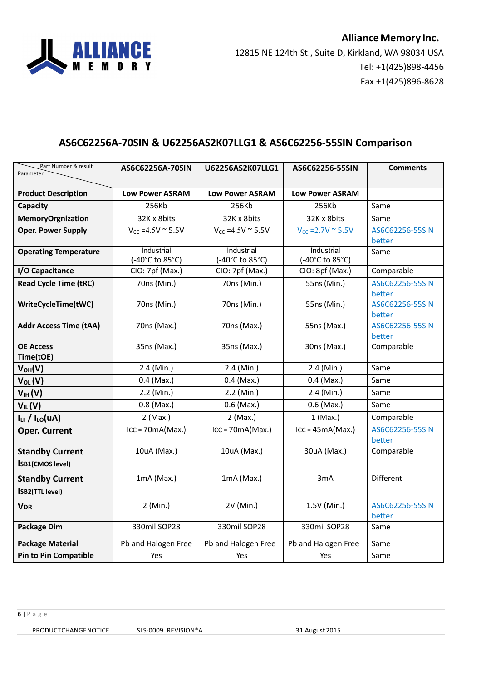

# **AS6C62256A-70SIN & U62256AS2K07LLG1 & AS6C62256-55SIN Comparison**

| Part Number & result<br>Parameter                 | AS6C62256A-70SIN              | U62256AS2K07LLG1              | AS6C62256-55SIN               | <b>Comments</b>           |
|---------------------------------------------------|-------------------------------|-------------------------------|-------------------------------|---------------------------|
|                                                   |                               |                               |                               |                           |
| <b>Product Description</b>                        | <b>Low Power ASRAM</b>        | <b>Low Power ASRAM</b>        | <b>Low Power ASRAM</b>        |                           |
| Capacity                                          | 256Kb                         | 256Kb                         | 256Kb                         | Same                      |
| <b>MemoryOrgnization</b>                          | 32K x 8bits                   | 32K x 8bits                   | 32K x 8bits                   | Same                      |
| <b>Oper. Power Supply</b>                         | $V_{CC} = 4.5V$ ~ 5.5V        | $V_{CC} = 4.5V$ ~ 5.5V        | $V_{CC} = 2.7V$ ~ 5.5V        | AS6C62256-55SIN<br>better |
| <b>Operating Temperature</b>                      | Industrial<br>(-40°C to 85°C) | Industrial<br>(-40°C to 85°C) | Industrial<br>(-40°C to 85°C) | Same                      |
| I/O Capacitance                                   | CIO: 7pf (Max.)               | CIO: 7pf (Max.)               | CIO: 8pf (Max.)               | Comparable                |
| <b>Read Cycle Time (tRC)</b>                      | 70ns (Min.)                   | 70ns (Min.)                   | 55ns (Min.)                   | AS6C62256-55SIN<br>better |
| WriteCycleTime(tWC)                               | 70ns (Min.)                   | 70ns (Min.)                   | 55ns (Min.)                   | AS6C62256-55SIN<br>better |
| <b>Addr Access Time (tAA)</b>                     | 70ns (Max.)                   | 70ns (Max.)                   | 55ns (Max.)                   | AS6C62256-55SIN<br>better |
| <b>OE Access</b><br>Time(tOE)                     | 35ns (Max.)                   | 35ns (Max.)                   | 30ns (Max.)                   | Comparable                |
| $V_{OH}(V)$                                       | 2.4 (Min.)                    | 2.4 (Min.)                    | 2.4 (Min.)                    | Same                      |
| $V_{OL}(V)$                                       | $0.4$ (Max.)                  | $0.4$ (Max.)                  | $0.4$ (Max.)                  | Same                      |
| V <sub>IH</sub> (V)                               | 2.2 (Min.)                    | 2.2 (Min.)                    | 2.4 (Min.)                    | Same                      |
| $V_{IL}(V)$                                       | $0.8$ (Max.)                  | $0.6$ (Max.)                  | $0.6$ (Max.)                  | Same                      |
| $ILI$ / $ILO(uA)$                                 | $2$ (Max.)                    | $2$ (Max.)                    | $1$ (Max.)                    | Comparable                |
| <b>Oper. Current</b>                              | $ICC = 70mA(Max.)$            | $ICC = 70mA(Max.)$            | $ICC = 45mA(Max.)$            | AS6C62256-55SIN<br>better |
| <b>Standby Current</b><br><b>ISB1(CMOS level)</b> | 10uA (Max.)                   | 10uA (Max.)                   | 30uA (Max.)                   | Comparable                |
| <b>Standby Current</b><br><b>ISB2(TTL level)</b>  | $1mA$ (Max.)                  | $1mA$ (Max.)                  | 3mA                           | Different                 |
| <b>VDR</b>                                        | 2 (Min.)                      | 2V (Min.)                     | 1.5V (Min.)                   | AS6C62256-55SIN<br>better |
| Package Dim                                       | 330mil SOP28                  | 330mil SOP28                  | 330mil SOP28                  | Same                      |
| <b>Package Material</b>                           | Pb and Halogen Free           | Pb and Halogen Free           | Pb and Halogen Free           | Same                      |
| <b>Pin to Pin Compatible</b>                      | Yes                           | Yes                           | Yes                           | Same                      |